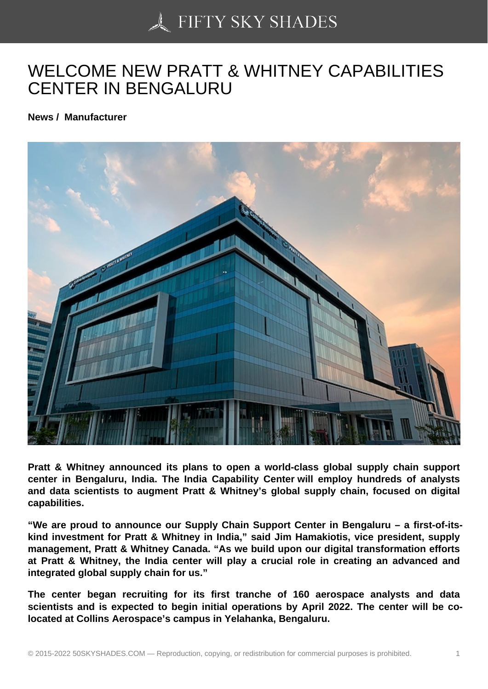## [WELCOME NEW PRA](https://50skyshades.com)TT & WHITNEY CAPABILITIES CENTER IN BENGALURU

News / Manufacturer

Pratt & Whitney announced its plans to open a world-class global supply chain support center in Bengaluru, India. The India Capability Center will employ hundreds of analysts and data scientists to augment Pratt & Whitney's global supply chain, focused on digital capabilities.

"We are proud to announce our Supply Chain Support Center in Bengaluru – a first-of-itskind investment for Pratt & Whitney in India," said Jim Hamakiotis, vice president, supply management, Pratt & Whitney Canada. "As we build upon our digital transformation efforts at Pratt & Whitney, the India center will play a crucial role in creating an advanced and integrated global supply chain for us."

The center began recruiting for its first tranche of 160 aerospace analysts and data scientists and is expected to begin initial operations by April 2022. The center will be colocated at Collins Aerospace's campus in Yelahanka, Bengaluru.